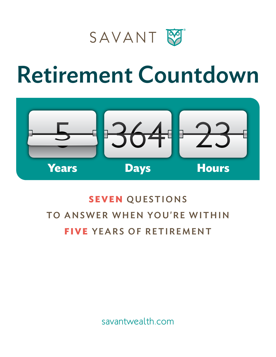



## **SEVEN** QUESTIONS TO ANSWER WHEN YOU'RE WITHIN **FIVE** YEARS OF RETIREMENT

savantwealth.com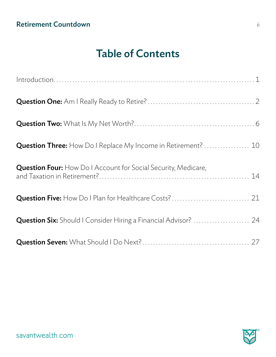### Table of Contents

| <b>Question Three:</b> How Do I Replace My Income in Retirement?  10  |  |
|-----------------------------------------------------------------------|--|
| <b>Question Four:</b> How Do I Account for Social Security, Medicare, |  |
| Question Five: How Do I Plan for Healthcare Costs? 21                 |  |
| Question Six: Should I Consider Hiring a Financial Advisor?  24       |  |
|                                                                       |  |
|                                                                       |  |
|                                                                       |  |
|                                                                       |  |
| savantwealth.com                                                      |  |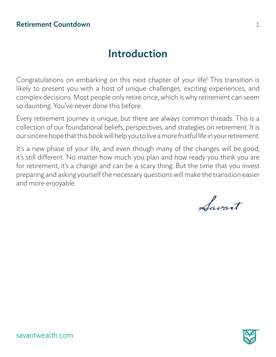### Introduction

Congratulations on embarking on this next chapter of your life! This transition is likely to present you with a host of unique challenges, exciting experiences, and complex decisions. Most people only retire once, which is why retirement can seem so daunting. You've never done this before.

Every retirement journey is unique, but there are always common threads. This is a collection of our foundational beliefs, perspectives, and strategies on retirement. It is our sincere hope that this book will help you to live a more fruitful life in your retirement.

It's a new phase of your life, and even though many of the changes will be good, it's still different. No matter how much you plan and how ready you think you are for retirement, it's a change and can be a scary thing. But the time that you invest preparing and asking yourself the necessary questions will make the transition easier and more enjoyable.

Savant

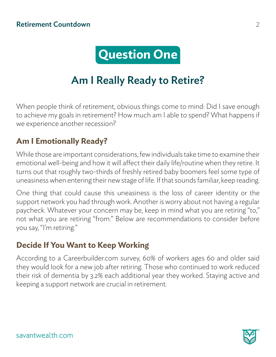

## Am I Really Ready to Retire?

When people think of retirement, obvious things come to mind: Did I save enough to achieve my goals in retirement? How much am I able to spend? What happens if we experience another recession?

#### **Am I Emotionally Ready?**

While those are important considerations, few individuals take time to examine their emotional well-being and how it will affect their daily life/routine when they retire. It turns out that roughly two-thirds of freshly retired baby boomers feel some type of uneasiness when entering their new stage of life. If that sounds familiar, keep reading.

One thing that could cause this uneasiness is the loss of career identity or the support network you had through work. Another is worry about not having a regular paycheck. Whatever your concern may be, keep in mind what you are retiring "to," not what you are retiring "from." Below are recommendations to consider before you say, "I'm retiring."

#### **Decide If You Want to Keep Working**

According to a Careerbuilder.com survey, 60% of workers ages 60 and older said they would look for a new job after retiring. Those who continued to work reduced their risk of dementia by 3.2% each additional year they worked. Staying active and keeping a support network are crucial in retirement.

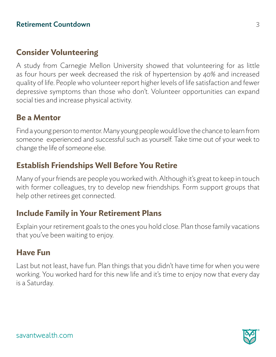#### **Consider Volunteering**

A study from Carnegie Mellon University showed that volunteering for as little as four hours per week decreased the risk of hypertension by 40% and increased quality of life. People who volunteer report higher levels of life satisfaction and fewer depressive symptoms than those who don't. Volunteer opportunities can expand social ties and increase physical activity.

#### **Be a Mentor**

Find a young person to mentor. Many young people would love the chance to learn from someone experienced and successful such as yourself. Take time out of your week to change the life of someone else.

#### **Establish Friendships Well Before You Retire**

Many of your friends are people you worked with. Although it's great to keep in touch with former colleagues, try to develop new friendships. Form support groups that help other retirees get connected.

#### **Include Family in Your Retirement Plans**

Explain your retirement goals to the ones you hold close. Plan those family vacations that you've been waiting to enjoy.

#### **Have Fun**

Last but not least, have fun. Plan things that you didn't have time for when you were working. You worked hard for this new life and it's time to enjoy now that every day is a Saturday.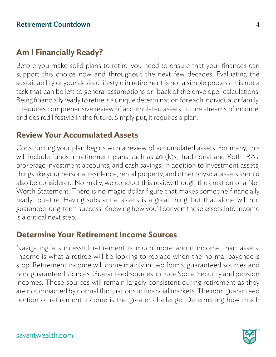#### **Am I Financially Ready?**

Before you make solid plans to retire, you need to ensure that your finances can support this choice now and throughout the next few decades. Evaluating the sustainability of your desired lifestyle in retirement is not a simple process. It is not a task that can be left to general assumptions or "back of the envelope" calculations. Being financially ready to retire is a unique determination for each individual or family. It requires comprehensive review of accumulated assets, future streams of income, and desired lifestyle in the future. Simply put, it requires a plan.

#### **Review Your Accumulated Assets**

Constructing your plan begins with a review of accumulated assets. For many, this will include funds in retirement plans such as 401(k)s, Traditional and Roth IRAs, brokerage investment accounts, and cash savings. In addition to investment assets, things like your personal residence, rental property, and other physical assets should also be considered. Normally, we conduct this review though the creation of a Net Worth Statement. There is no magic dollar figure that makes someone financially ready to retire. Having substantial assets is a great thing, but that alone will not guarantee long-term success. Knowing how you'll convert these assets into income is a critical next step.

#### **Determine Your Retirement Income Sources**

Navigating a successful retirement is much more about income than assets. Income is what a retiree will be looking to replace when the normal paychecks stop. Retirement income will come mainly in two forms: guaranteed sources and non-guaranteed sources. Guaranteed sources include Social Security and pension incomes. These sources will remain largely consistent during retirement as they are not impacted by normal fluctuations in financial markets. The non-guaranteed portion of retirement income is the greater challenge. Determining how much

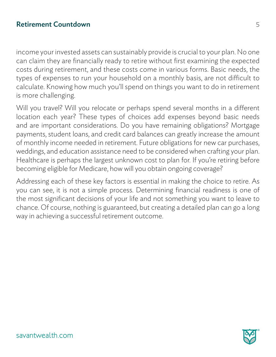income your invested assets can sustainably provide is crucial to your plan. No one can claim they are financially ready to retire without first examining the expected costs during retirement, and these costs come in various forms. Basic needs, the types of expenses to run your household on a monthly basis, are not difficult to calculate. Knowing how much you'll spend on things you want to do in retirement is more challenging.

Will you travel? Will you relocate or perhaps spend several months in a different location each year? These types of choices add expenses beyond basic needs and are important considerations. Do you have remaining obligations? Mortgage payments, student loans, and credit card balances can greatly increase the amount of monthly income needed in retirement. Future obligations for new car purchases, weddings, and education assistance need to be considered when crafting your plan. Healthcare is perhaps the largest unknown cost to plan for. If you're retiring before becoming eligible for Medicare, how will you obtain ongoing coverage?

Addressing each of these key factors is essential in making the choice to retire. As you can see, it is not a simple process. Determining financial readiness is one of the most significant decisions of your life and not something you want to leave to chance. Of course, nothing is guaranteed, but creating a detailed plan can go a long way in achieving a successful retirement outcome.

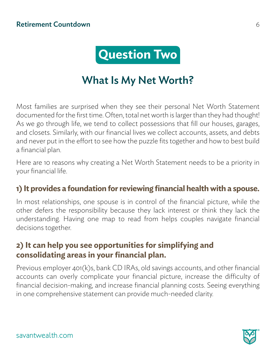

## What Is My Net Worth?

Most families are surprised when they see their personal Net Worth Statement documented for the first time. Often, total net worth is larger than they had thought! As we go through life, we tend to collect possessions that fill our houses, garages, and closets. Similarly, with our financial lives we collect accounts, assets, and debts and never put in the effort to see how the puzzle fits together and how to best build a financial plan.

Here are 10 reasons why creating a Net Worth Statement needs to be a priority in your financial life.

#### **1) It provides a foundation for reviewing financial health with a spouse.**

In most relationships, one spouse is in control of the financial picture, while the other defers the responsibility because they lack interest or think they lack the understanding. Having one map to read from helps couples navigate financial decisions together.

#### **2) It can help you see opportunities for simplifying and consolidating areas in your financial plan.**

Previous employer 401(k)s, bank CD IRAs, old savings accounts, and other financial accounts can overly complicate your financial picture, increase the difficulty of financial decision-making, and increase financial planning costs. Seeing everything in one comprehensive statement can provide much-needed clarity.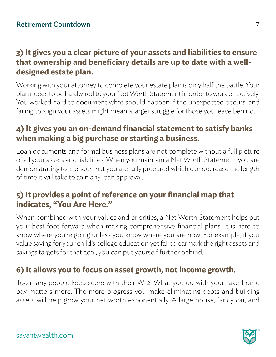#### **3) It gives you a clear picture of your assets and liabilities to ensure that ownership and beneficiary details are up to date with a welldesigned estate plan.**

Working with your attorney to complete your estate plan is only half the battle. Your plan needs to be hardwired to your Net Worth Statement in order to work effectively. You worked hard to document what should happen if the unexpected occurs, and failing to align your assets might mean a larger struggle for those you leave behind.

#### **4) It gives you an on-demand financial statement to satisfy banks when making a big purchase or starting a business.**

Loan documents and formal business plans are not complete without a full picture of all your assets and liabilities. When you maintain a Net Worth Statement, you are demonstrating to a lender that you are fully prepared which can decrease the length of time it will take to gain any loan approval.

#### **5) It provides a point of reference on your financial map that indicates, "You Are Here."**

When combined with your values and priorities, a Net Worth Statement helps put your best foot forward when making comprehensive financial plans. It is hard to know where you're going unless you know where you are now. For example, if you value saving for your child's college education yet fail to earmark the right assets and savings targets for that goal, you can put yourself further behind.

#### **6) It allows you to focus on asset growth, not income growth.**

Too many people keep score with their W-2. What you do with your take-home pay matters more. The more progress you make eliminating debts and building assets will help grow your net worth exponentially. A large house, fancy car, and

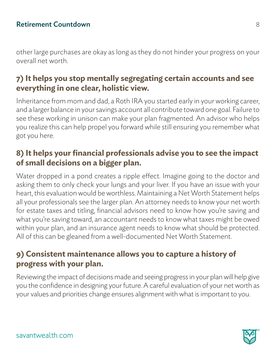other large purchases are okay as long as they do not hinder your progress on your overall net worth.

#### **7) It helps you stop mentally segregating certain accounts and see everything in one clear, holistic view.**

Inheritance from mom and dad, a Roth IRA you started early in your working career, and a larger balance in your savings account all contribute toward one goal. Failure to see these working in unison can make your plan fragmented. An advisor who helps you realize this can help propel you forward while still ensuring you remember what got you here.

#### **8) It helps your financial professionals advise you to see the impact of small decisions on a bigger plan.**

Water dropped in a pond creates a ripple effect. Imagine going to the doctor and asking them to only check your lungs and your liver. If you have an issue with your heart, this evaluation would be worthless. Maintaining a Net Worth Statement helps all your professionals see the larger plan. An attorney needs to know your net worth for estate taxes and titling, financial advisors need to know how you're saving and what you're saving toward, an accountant needs to know what taxes might be owed within your plan, and an insurance agent needs to know what should be protected. All of this can be gleaned from a well-documented Net Worth Statement.

#### **9) Consistent maintenance allows you to capture a history of progress with your plan.**

Reviewing the impact of decisions made and seeing progress in your plan will help give you the confidence in designing your future. A careful evaluation of your net worth as your values and priorities change ensures alignment with what is important to you.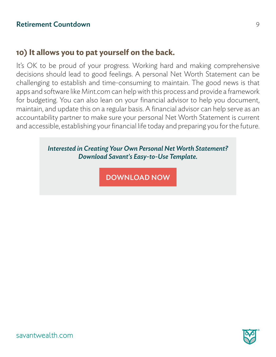#### **10) It allows you to pat yourself on the back.**

It's OK to be proud of your progress. Working hard and making comprehensive decisions should lead to good feelings. A personal Net Worth Statement can be challenging to establish and time-consuming to maintain. The good news is that apps and software like Mint.com can help with this process and provide a framework for budgeting. You can also lean on your financial advisor to help you document, maintain, and update this on a regular basis. A financial advisor can help serve as an accountability partner to make sure your personal Net Worth Statement is current and accessible, establishing your financial life today and preparing you for the future.

#### *Interested in Creating Your Own Personal Net Worth Statement? Download Savant's Easy-to-Use Template.*

DOWNLOAD NOW<br>
Savantwealth.com<br>
Savantwealth.com



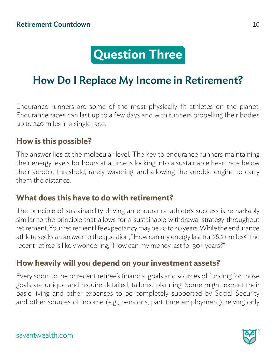## **Question Three**

## How Do I Replace My Income in Retirement?

Endurance runners are some of the most physically fit athletes on the planet. Endurance races can last up to a few days and with runners propelling their bodies up to 240 miles in a single race.

#### **How is this possible?**

The answer lies at the molecular level. The key to endurance runners maintaining their energy levels for hours at a time is locking into a sustainable heart rate below their aerobic threshold, rarely wavering, and allowing the aerobic engine to carry them the distance.

#### **What does this have to do with retirement?**

The principle of sustainability driving an endurance athlete's success is remarkably similar to the principle that allows for a sustainable withdrawal strategy throughout retirement. Your retirement life expectancy may be 20 to 40 years. While the endurance athlete seeks an answer to the question, "How can my energy last for 26.2+ miles?" the recent retiree is likely wondering, "How can my money last for 30+ years?"

#### **How heavily will you depend on your investment assets?**

Every soon-to-be or recent retiree's financial goals and sources of funding for those goals are unique and require detailed, tailored planning. Some might expect their basic living and other expenses to be completely supported by Social Security and other sources of income (e.g., pensions, part-time employment), relying only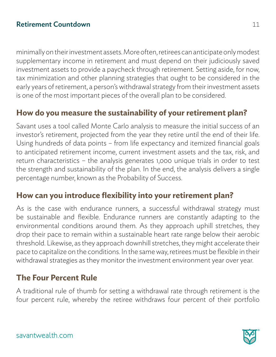minimally on their investment assets. More often, retirees can anticipate only modest supplementary income in retirement and must depend on their judiciously saved investment assets to provide a paycheck through retirement. Setting aside, for now, tax minimization and other planning strategies that ought to be considered in the early years of retirement, a person's withdrawal strategy from their investment assets is one of the most important pieces of the overall plan to be considered.

#### **How do you measure the sustainability of your retirement plan?**

Savant uses a tool called Monte Carlo analysis to measure the initial success of an investor's retirement, projected from the year they retire until the end of their life. Using hundreds of data points – from life expectancy and itemized financial goals to anticipated retirement income, current investment assets and the tax, risk, and return characteristics – the analysis generates 1,000 unique trials in order to test the strength and sustainability of the plan. In the end, the analysis delivers a single percentage number, known as the Probability of Success.

#### **How can you introduce flexibility into your retirement plan?**

As is the case with endurance runners, a successful withdrawal strategy must be sustainable and flexible. Endurance runners are constantly adapting to the environmental conditions around them. As they approach uphill stretches, they drop their pace to remain within a sustainable heart rate range below their aerobic threshold. Likewise, as they approach downhill stretches, they might accelerate their pace to capitalize on the conditions. In the same way, retirees must be flexible in their withdrawal strategies as they monitor the investment environment year over year.

#### **The Four Percent Rule**

A traditional rule of thumb for setting a withdrawal rate through retirement is the four percent rule, whereby the retiree withdraws four percent of their portfolio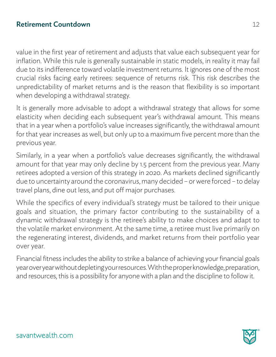value in the first year of retirement and adjusts that value each subsequent year for inflation. While this rule is generally sustainable in static models, in reality it may fail due to its indifference toward volatile investment returns. It ignores one of the most crucial risks facing early retirees: sequence of returns risk. This risk describes the unpredictability of market returns and is the reason that flexibility is so important when developing a withdrawal strategy.

It is generally more advisable to adopt a withdrawal strategy that allows for some elasticity when deciding each subsequent year's withdrawal amount. This means that in a year when a portfolio's value increases significantly, the withdrawal amount for that year increases as well, but only up to a maximum five percent more than the previous year.

Similarly, in a year when a portfolio's value decreases significantly, the withdrawal amount for that year may only decline by 1.5 percent from the previous year. Many retirees adopted a version of this strategy in 2020. As markets declined significantly due to uncertainty around the coronavirus, many decided – or were forced – to delay travel plans, dine out less, and put off major purchases.

While the specifics of every individual's strategy must be tailored to their unique goals and situation, the primary factor contributing to the sustainability of a dynamic withdrawal strategy is the retiree's ability to make choices and adapt to the volatile market environment. At the same time, a retiree must live primarily on the regenerating interest, dividends, and market returns from their portfolio year over year.

Financial fitness includes the ability to strike a balance of achieving your financial goals year over year without depleting your resources. With the proper knowledge, preparation, and resources, this is a possibility for anyone with a plan and the discipline to follow it.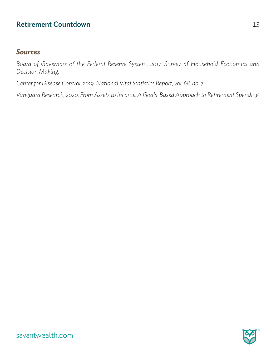#### *Sources*

*Board of Governors of the Federal Reserve System, 2017. Survey of Household Economics and Decision Making.*

*Center for Disease Control, 2019. National Vital Statistics Report, vol. 68, no. 7.* 

*Vanguard Research, 2020, From Assets to Income: A Goals-Based Approach to Retirement Spending.*

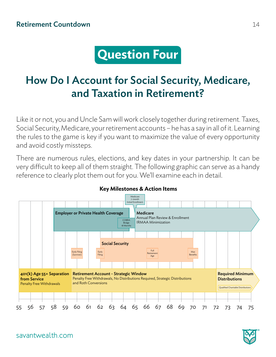## **Question Four**

## How Do I Account for Social Security, Medicare, and Taxation in Retirement?

Like it or not, you and Uncle Sam will work closely together during retirement. Taxes, Social Security, Medicare, your retirement accounts – he has a say in all of it. Learning the rules to the game is key if you want to maximize the value of every opportunity and avoid costly missteps.

There are numerous rules, elections, and key dates in your partnership. It can be very difficult to keep all of them straight. The following graphic can serve as a handy reference to clearly plot them out for you. We'll examine each in detail.



#### **Key Milestones & Action Items**



savantwealth.com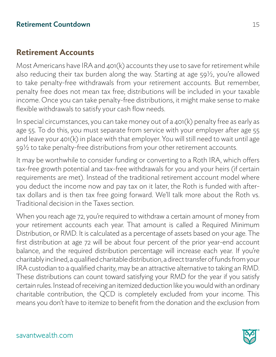#### **Retirement Accounts**

Most Americans have IRA and 401(k) accounts they use to save for retirement while also reducing their tax burden along the way. Starting at age 59½, you're allowed to take penalty-free withdrawals from your retirement accounts. But remember, penalty free does not mean tax free; distributions will be included in your taxable income. Once you can take penalty-free distributions, it might make sense to make flexible withdrawals to satisfy your cash flow needs.

In special circumstances, you can take money out of a 401(k) penalty free as early as age 55. To do this, you must separate from service with your employer after age 55 and leave your 401(k) in place with that employer. You will still need to wait until age 59½ to take penalty-free distributions from your other retirement accounts.

It may be worthwhile to consider funding or converting to a Roth IRA, which offers tax-free growth potential and tax-free withdrawals for you and your heirs (if certain requirements are met). Instead of the traditional retirement account model where you deduct the income now and pay tax on it later, the Roth is funded with aftertax dollars and is then tax free going forward. We'll talk more about the Roth vs. Traditional decision in the Taxes section.

When you reach age 72, you're required to withdraw a certain amount of money from your retirement accounts each year. That amount is called a Required Minimum Distribution, or RMD. It is calculated as a percentage of assets based on your age. The first distribution at age 72 will be about four percent of the prior year-end account balance, and the required distribution percentage will increase each year. If you're charitably inclined, a qualified charitable distribution, a direct transfer of funds from your IRA custodian to a qualified charity, may be an attractive alternative to taking an RMD. These distributions can count toward satisfying your RMD for the year if you satisfy certain rules. Instead of receiving an itemized deduction like you would with an ordinary charitable contribution, the QCD is completely excluded from your income. This means you don't have to itemize to benefit from the donation and the exclusion from

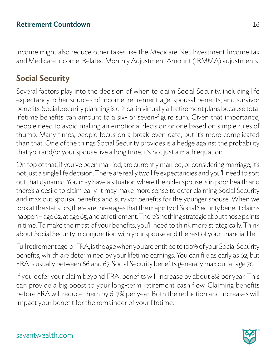income might also reduce other taxes like the Medicare Net Investment Income tax and Medicare Income-Related Monthly Adjustment Amount (IRMMA) adjustments.

#### **Social Security**

Several factors play into the decision of when to claim Social Security, including life expectancy, other sources of income, retirement age, spousal benefits, and survivor benefits. Social Security planning is critical in virtually all retirement plans because total lifetime benefits can amount to a six- or seven-figure sum. Given that importance, people need to avoid making an emotional decision or one based on simple rules of thumb. Many times, people focus on a break-even date, but it's more complicated than that. One of the things Social Security provides is a hedge against the probability that you and/or your spouse live a long time; it's not just a math equation.

On top of that, if you've been married, are currently married, or considering marriage, it's not just a single life decision. There are really two life expectancies and you'll need to sort out that dynamic. You may have a situation where the older spouse is in poor health and there's a desire to claim early. It may make more sense to defer claiming Social Security and max out spousal benefits and survivor benefits for the younger spouse. When we look at the statistics, there are three ages that the majority of Social Security benefit claims happen – age 62, at age 65, and at retirement. There's nothing strategic about those points in time. To make the most of your benefits, you'll need to think more strategically. Think about Social Security in conjunction with your spouse and the rest of your financial life.

Full retirement age, or FRA, is the age when you are entitled to 100% of your Social Security benefits, which are determined by your lifetime earnings. You can file as early as 62, but FRA is usually between 66 and 67. Social Security benefits generally max out at age 70.

If you defer your claim beyond FRA, benefits will increase by about 8% per year. This can provide a big boost to your long-term retirement cash flow. Claiming benefits before FRA will reduce them by 6-7% per year. Both the reduction and increases will impact your benefit for the remainder of your lifetime.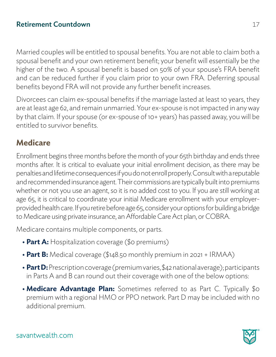Married couples will be entitled to spousal benefits. You are not able to claim both a spousal benefit and your own retirement benefit; your benefit will essentially be the higher of the two. A spousal benefit is based on 50% of your spouse's FRA benefit and can be reduced further if you claim prior to your own FRA. Deferring spousal benefits beyond FRA will not provide any further benefit increases.

Divorcees can claim ex-spousal benefits if the marriage lasted at least 10 years, they are at least age 62, and remain unmarried. Your ex-spouse is not impacted in any way by that claim. If your spouse (or ex-spouse of 10+ years) has passed away, you will be entitled to survivor benefits.

#### **Medicare**

Enrollment begins three months before the month of your 65th birthday and ends three months after. It is critical to evaluate your initial enrollment decision, as there may be penalties and lifetime consequences if you do not enroll properly. Consult with a reputable and recommended insurance agent. Their commissions are typically built into premiums whether or not you use an agent, so it is no added cost to you. If you are still working at age 65, it is critical to coordinate your initial Medicare enrollment with your employerprovided health care. If you retire before age 65, consider your options for building a bridge to Medicare using private insurance, an Affordable Care Act plan, or COBRA.

Medicare contains multiple components, or parts.

- **Part A:** Hospitalization coverage (\$0 premiums)
- **• Part B:** Medical coverage (\$148.50 monthly premium in 2021 + IRMAA)
- **• Part D:** Prescription coverage (premium varies, \$42 national average); participants in Parts A and B can round out their coverage with one of the below options:
- **•** Medicare Advantage Plan: Sometimes referred to as Part C. Typically \$0 premium with a regional HMO or PPO network. Part D may be included with no additional premium.

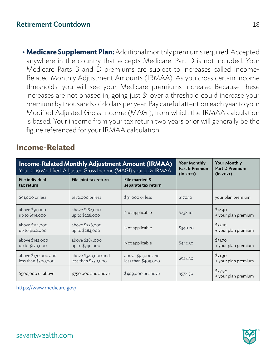**• Medicare Supplement Plan:** Additional monthly premiums required. Accepted anywhere in the country that accepts Medicare. Part D is not included. Your Medicare Parts B and D premiums are subject to increases called Income-Related Monthly Adjustment Amounts (IRMAA). As you cross certain income thresholds, you will see your Medicare premiums increase. Because these increases are not phased in, going just \$1 over a threshold could increase your premium by thousands of dollars per year. Pay careful attention each year to your Modified Adjusted Gross Income (MAGI), from which the IRMAA calculation is based. Your income from your tax return two years prior will generally be the figure referenced for your IRMAA calculation.

#### **Income-Related**

|                                            | <b>Income-Related Monthly Adjustment Amount (IRMAA)</b><br>Your 2019 Modified-Adjusted Gross Income (MAGI) your 2021 IRMAA | <b>Your Monthly</b><br><b>Part B Premium</b><br>(in 2021) | <b>Your Monthly</b><br><b>Part D Premium</b><br>(in 2021) |                                |
|--------------------------------------------|----------------------------------------------------------------------------------------------------------------------------|-----------------------------------------------------------|-----------------------------------------------------------|--------------------------------|
| <b>File individual</b><br>tax return       | File joint tax return                                                                                                      | File married &<br>separate tax return                     |                                                           |                                |
| \$91,000 or less                           | \$182,000 or less                                                                                                          | \$91,000 or less                                          | \$170.10                                                  | your plan premium              |
| above \$91,000<br>up to \$114,000          | above \$182,000<br>up to \$228,000                                                                                         | Not applicable                                            | \$238.10                                                  | \$12.40<br>+ your plan premium |
| above \$114,000<br>up to \$142,000         | above \$228,000<br>up to \$284,000                                                                                         | Not applicable                                            | \$340.20                                                  | \$32.10<br>+ your plan premium |
| above \$142,000<br>up to \$170,000         | above \$284,000<br>up to \$340,000                                                                                         | Not applicable                                            | \$442.30                                                  | \$51.70<br>+ your plan premium |
| above \$170,000 and<br>less than \$500,000 | above \$340,000 and<br>less than \$750,000                                                                                 | above \$91,000 and<br>less than \$409,000                 | \$544.30                                                  | \$71.30<br>+ your plan premium |
| \$500,000 or above                         | \$750,000 and above                                                                                                        | \$409,000 or above                                        | \$578.30                                                  | \$77.90<br>+ your plan premium |

https://www.medicare.gov/

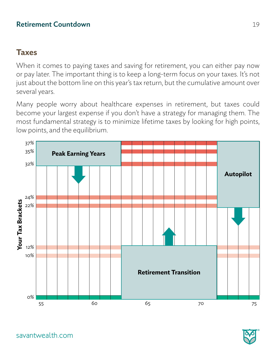#### **Taxes**

When it comes to paying taxes and saving for retirement, you can either pay now or pay later. The important thing is to keep a long-term focus on your taxes. It's not just about the bottom line on this year's tax return, but the cumulative amount over several years.

Many people worry about healthcare expenses in retirement, but taxes could become your largest expense if you don't have a strategy for managing them. The most fundamental strategy is to minimize lifetime taxes by looking for high points, low points, and the equilibrium.



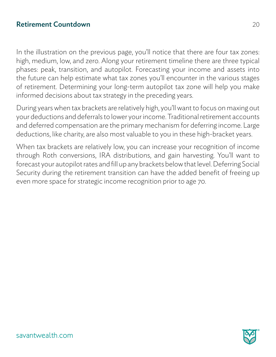In the illustration on the previous page, you'll notice that there are four tax zones: high, medium, low, and zero. Along your retirement timeline there are three typical phases: peak, transition, and autopilot. Forecasting your income and assets into the future can help estimate what tax zones you'll encounter in the various stages of retirement. Determining your long-term autopilot tax zone will help you make informed decisions about tax strategy in the preceding years.

During years when tax brackets are relatively high, you'll want to focus on maxing out your deductions and deferrals to lower your income. Traditional retirement accounts and deferred compensation are the primary mechanism for deferring income. Large deductions, like charity, are also most valuable to you in these high-bracket years.

When tax brackets are relatively low, you can increase your recognition of income through Roth conversions, IRA distributions, and gain harvesting. You'll want to forecast your autopilot rates and fill up any brackets below that level. Deferring Social Security during the retirement transition can have the added benefit of freeing up even more space for strategic income recognition prior to age 70.

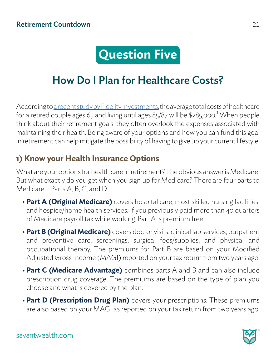## **Question Five**

### How Do I Plan for Healthcare Costs?

According to [a recent study by Fidelity Investments](https://www.fidelity.com/viewpoints/personal-finance/plan-for-rising-health-care-costs), the average total costs of healthcare for a retired couple ages 65 and living until ages 85/87 will be \$285,000.<sup>1</sup> When people think about their retirement goals, they often overlook the expenses associated with maintaining their health. Being aware of your options and how you can fund this goal in retirement can help mitigate the possibility of having to give up your current lifestyle.

#### **1) Know your Health Insurance Options**

What are your options for health care in retirement? The obvious answer is Medicare. But what exactly do you get when you sign up for Medicare? There are four parts to Medicare – Parts A, B, C, and D.

- **• Part A (Original Medicare)** covers hospital care, most skilled nursing facilities, and hospice/home health services. If you previously paid more than 40 quarters of Medicare payroll tax while working, Part A is premium free.
- **• Part B (Original Medicare)** covers doctor visits, clinical lab services, outpatient and preventive care, screenings, surgical fees/supplies, and physical and occupational therapy. The premiums for Part B are based on your Modified Adjusted Gross Income (MAGI) reported on your tax return from two years ago.
- **• Part C (Medicare Advantage)** combines parts A and B and can also include prescription drug coverage. The premiums are based on the type of plan you choose and what is covered by the plan.
- **• Part D (Prescription Drug Plan)** covers your prescriptions. These premiums are also based on your MAGI as reported on your tax return from two years ago.

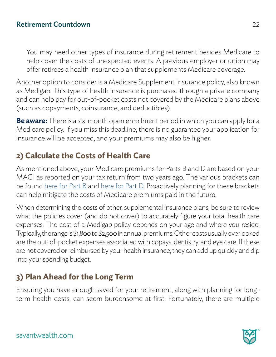You may need other types of insurance during retirement besides Medicare to help cover the costs of unexpected events. A previous employer or union may offer retirees a health insurance plan that supplements Medicare coverage.

Another option to consider is a Medicare Supplement Insurance policy, also known as Medigap. This type of health insurance is purchased through a private company and can help pay for out-of-pocket costs not covered by the Medicare plans above (such as copayments, coinsurance, and deductibles).

**Be aware:** There is a six-month open enrollment period in which you can apply for a Medicare policy. If you miss this deadline, there is no guarantee your application for insurance will be accepted, and your premiums may also be higher.

#### **2) Calculate the Costs of Health Care**

As mentioned above, your Medicare premiums for Parts B and D are based on your MAGI as reported on your tax return from two years ago. The various brackets can be found [here for Part B](https://www.medicare.gov/your-medicare-costs/part-b-costs) and [here for Part D.](https://www.medicare.gov/drug-coverage-part-d/costs-for-medicare-drug-coverage/monthly-premium-for-drug-plans) Proactively planning for these brackets can help mitigate the costs of Medicare premiums paid in the future.

When determining the costs of other, supplemental insurance plans, be sure to review what the policies cover (and do not cover) to accurately figure your total health care expenses. The cost of a Medigap policy depends on your age and where you reside. Typically, the range is \$1,800 to \$2,500 in annual premiums. Other costs usually overlooked are the out-of-pocket expenses associated with copays, dentistry, and eye care. If these are not covered or reimbursed by your health insurance, they can add up quickly and dip into your spending budget.

#### **3) Plan Ahead for the Long Term**

Ensuring you have enough saved for your retirement, along with planning for longterm health costs, can seem burdensome at first. Fortunately, there are multiple

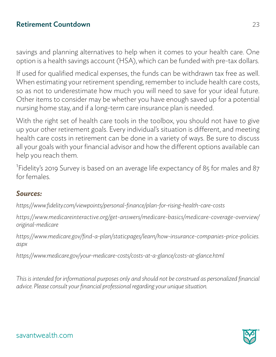savings and planning alternatives to help when it comes to your health care. One option is a health savings account (HSA), which can be funded with pre-tax dollars.

If used for qualified medical expenses, the funds can be withdrawn tax free as well. When estimating your retirement spending, remember to include health care costs, so as not to underestimate how much you will need to save for your ideal future. Other items to consider may be whether you have enough saved up for a potential nursing home stay, and if a long-term care insurance plan is needed.

With the right set of health care tools in the toolbox, you should not have to give up your other retirement goals. Every individual's situation is different, and meeting health care costs in retirement can be done in a variety of ways. Be sure to discuss all your goals with your financial advisor and how the different options available can help you reach them.

<sup>1</sup>Fidelity's 2019 Survey is based on an average life expectancy of 85 for males and 87 for females.

#### *Sources:*

*https://www.fidelity.com/viewpoints/personal-finance/plan-for-rising-health-care-costs*

*https://www.medicareinteractive.org/get-answers/medicare-basics/medicare-coverage-overview/ original-medicare*

*https://www.medicare.gov/find-a-plan/staticpages/learn/how-insurance-companies-price-policies. aspx*

*https://www.medicare.gov/your-medicare-costs/costs-at-a-glance/costs-at-glance.html*

*This is intended for informational purposes only and should not be construed as personalized financial advice. Please consult your financial professional regarding your unique situation.*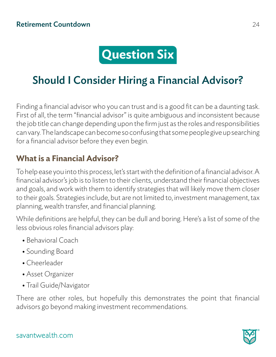## **Question Six**

## Should I Consider Hiring a Financial Advisor?

Finding a financial advisor who you can trust and is a good fit can be a daunting task. First of all, the term "financial advisor" is quite ambiguous and inconsistent because the job title can change depending upon the firm just as the roles and responsibilities can vary. The landscape can become so confusing that some people give up searching for a financial advisor before they even begin.

#### **What is a Financial Advisor?**

To help ease you into this process, let's start with the definition of a financial advisor. A financial advisor's job is to listen to their clients, understand their financial objectives and goals, and work with them to identify strategies that will likely move them closer to their goals. Strategies include, but are not limited to, investment management, tax planning, wealth transfer, and financial planning.

While definitions are helpful, they can be dull and boring. Here's a list of some of the less obvious roles financial advisors play:

- **•** Behavioral Coach
- **•** Sounding Board
- **•** Cheerleader
- **•** Asset Organizer
- **•** Trail Guide/Navigator

There are other roles, but hopefully this demonstrates the point that financial advisors go beyond making investment recommendations.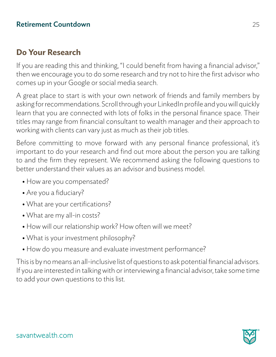#### **Do Your Research**

If you are reading this and thinking, "I could benefit from having a financial advisor," then we encourage you to do some research and try not to hire the first advisor who comes up in your Google or social media search.

A great place to start is with your own network of friends and family members by asking for recommendations. Scroll through your LinkedIn profile and you will quickly learn that you are connected with lots of folks in the personal finance space. Their titles may range from financial consultant to wealth manager and their approach to working with clients can vary just as much as their job titles.

Before committing to move forward with any personal finance professional, it's important to do your research and find out more about the person you are talking to and the firm they represent. We recommend asking the following questions to better understand their values as an advisor and business model.

- **•** How are you compensated?
- **•** Are you a fiduciary?
- **•** What are your certifications?
- **•** What are my all-in costs?
- **•** How will our relationship work? How often will we meet?
- **•** What is your investment philosophy?
- **•** How do you measure and evaluate investment performance?

This is by no means an all-inclusive list of questions to ask potential financial advisors. If you are interested in talking with or interviewing a financial advisor, take some time to add your own questions to this list.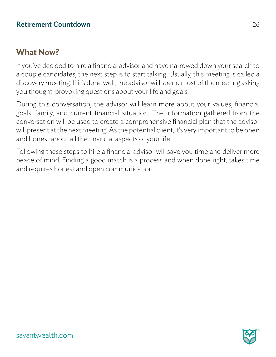#### **What Now?**

If you've decided to hire a financial advisor and have narrowed down your search to a couple candidates, the next step is to start talking. Usually, this meeting is called a discovery meeting. If it's done well, the advisor will spend most of the meeting asking you thought-provoking questions about your life and goals.

During this conversation, the advisor will learn more about your values, financial goals, family, and current financial situation. The information gathered from the conversation will be used to create a comprehensive financial plan that the advisor will present at the next meeting. As the potential client, it's very important to be open and honest about all the financial aspects of your life.

Following these steps to hire a financial advisor will save you time and deliver more peace of mind. Finding a good match is a process and when done right, takes time and requires honest and open communication.

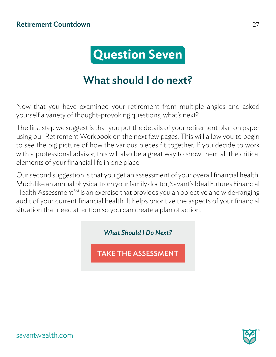

## What should I do next?

Now that you have examined your retirement from multiple angles and asked yourself a variety of thought-provoking questions, what's next?

The first step we suggest is that you put the details of your retirement plan on paper using our Retirement Workbook on the next few pages. This will allow you to begin to see the big picture of how the various pieces fit together. If you decide to work with a professional advisor, this will also be a great way to show them all the critical elements of your financial life in one place.

Our second suggestion is that you get an assessment of your overall financial health. Much like an annual physical from your family doctor, Savant's Ideal Futures Financial Health Assessment<sup>sm</sup> is an exercise that provides you an objective and wide-ranging audit of your current financial health. It helps prioritize the aspects of your financial situation that need attention so you can create a plan of action.

*What Should I Do Next?*

TAKE THE ASSESSMENT<br>savantwealth.com<br>Savantwealth.com

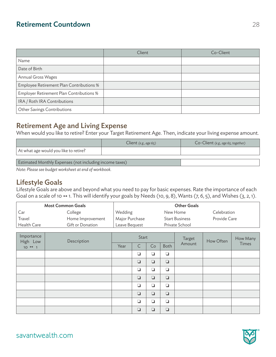|                                          | Client | Co-Client |
|------------------------------------------|--------|-----------|
| Name                                     |        |           |
| Date of Birth                            |        |           |
| Annual Gross Wages                       |        |           |
| Employee Retirement Plan Contributions % |        |           |
| Employer Retirement Plan Contributions % |        |           |
| IRA / Roth IRA Contributions             |        |           |
| Other Savings Contributions              |        |           |

#### Retirement Age and Living Expense

When would you like to retire? Enter your Target Retirement Age. Then, indicate your living expense amount.

|                                                         | Client $(e.g., age 65)$ | $Co$ -Client (e.g., age 65, together) |  |  |  |
|---------------------------------------------------------|-------------------------|---------------------------------------|--|--|--|
| At what age would you like to retire?                   |                         |                                       |  |  |  |
| Estimated Monthly Expenses (not including income taxes) |                         |                                       |  |  |  |

*Note: Please see budget worksheet at end of workbook.*

#### Lifestyle Goals

Lifestyle Goals are above and beyond what you need to pay for basic expenses. Rate the importance of each Goal on a scale of 10  $\leftrightarrow$  1. This will identify your goals by Needs (10, 9, 8), Wants (7, 6, 5), and Wishes (3, 2, 1).

| <b>Most Common Goals</b> |                  |                | <b>Other Goals</b>    |              |
|--------------------------|------------------|----------------|-----------------------|--------------|
| Car                      | College          | Wedding        | New Home              | Celebration  |
| Travel                   | Home Improvement | Major Purchase | <b>Start Business</b> | Provide Care |
| Health Care              | Gift or Donation | Leave Beguest  | Private School        |              |

| Importance<br>High Low | Description |      | Start        |        |        | Target | How Often | How Many |
|------------------------|-------------|------|--------------|--------|--------|--------|-----------|----------|
| $10 \leftrightarrow 1$ |             | Year | $\mathsf{C}$ | Co     | Both   | Amount |           | Times    |
|                        |             |      | $\Box$       | $\Box$ | $\Box$ |        |           |          |
|                        |             |      | $\Box$       | $\Box$ | $\Box$ |        |           |          |
|                        |             |      | ❏            | $\Box$ | $\Box$ |        |           |          |
|                        |             |      | $\Box$       | $\Box$ | $\Box$ |        |           |          |
|                        |             |      | $\Box$       | $\Box$ | $\Box$ |        |           |          |
|                        |             |      | $\Box$       | $\Box$ | $\Box$ |        |           |          |
|                        |             |      | $\Box$       | $\Box$ | $\Box$ |        |           |          |
|                        |             |      | $\Box$       | $\Box$ | $\Box$ |        |           |          |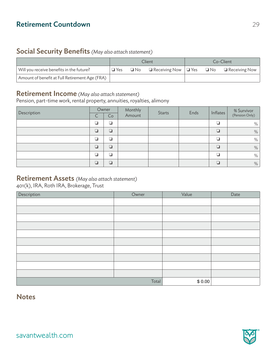#### Social Security Benefits *(May also attach statement)*

|                                                | Client     |  |                                                                           |  | Co-Client |
|------------------------------------------------|------------|--|---------------------------------------------------------------------------|--|-----------|
| Will you receive benefits in the future?       | $\Box$ Yes |  | $\Box$ No $\Box$ Receiving Now $ \Box$ Yes $\Box$ No $\Box$ Receiving Now |  |           |
| Amount of benefit at Full Retirement Age (FRA) |            |  |                                                                           |  |           |

#### Retirement Income *(May also attach statement)*

Pension, part-time work, rental property, annuities, royalties, alimony

| Description | ◡ | Owner<br>Co | Monthly<br>Amount | Starts | Ends | Inflates | % Survivor<br>(Pension Only) |
|-------------|---|-------------|-------------------|--------|------|----------|------------------------------|
|             |   | ❏           |                   |        |      |          | %                            |
|             | □ | $\Box$      |                   |        |      | ⊓        | %                            |
|             |   | a           |                   |        |      | n        | $\%$                         |
|             | ❏ | ❏           |                   |        |      | $\Box$   | %                            |
|             |   | n.          |                   |        |      |          | %                            |
|             | ┚ | $\Box$      |                   |        |      |          | %                            |

#### Retirement Assets *(May also attach statement)*

401(k), IRA, Roth IRA, Brokerage, Trust

| Description | Owner | Value  | Date |
|-------------|-------|--------|------|
|             |       |        |      |
|             |       |        |      |
|             |       |        |      |
|             |       |        |      |
|             |       |        |      |
|             |       |        |      |
|             |       |        |      |
|             |       |        |      |
|             |       |        |      |
|             |       |        |      |
|             | Total | \$0.00 |      |

#### **Notes**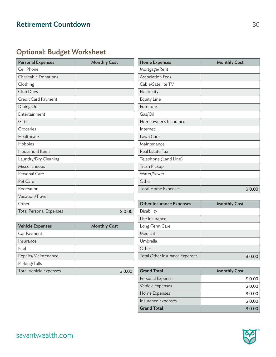#### Optional: Budget Worksheet

| <b>Personal Expenses</b>       | <b>Monthly Cost</b> | <b>Home Expenses</b>            | <b>Monthly Cost</b> |
|--------------------------------|---------------------|---------------------------------|---------------------|
| Cell Phone                     |                     | Mortgage/Rent                   |                     |
| <b>Charitable Donations</b>    |                     | <b>Association Fees</b>         |                     |
| Clothing                       |                     | Cable/Satellite TV              |                     |
| Club Dues                      |                     | Electricity                     |                     |
| Credit Card Payment            |                     | <b>Equity Line</b>              |                     |
| Dining Out                     |                     | Furniture                       |                     |
| Entertainment                  |                     | Gas/Oil                         |                     |
| Gifts                          |                     | Homeowner's Insurance           |                     |
| Groceries                      |                     | Internet                        |                     |
| Healthcare                     |                     | Lawn Care                       |                     |
| Hobbies                        |                     | Maintenance                     |                     |
| Household Items                |                     | Real Estate Tax                 |                     |
| Laundry/Dry Cleaning           |                     | Telephone (Land Line)           |                     |
| Miscellaneous                  |                     | Trash Pickup                    |                     |
| Personal Care                  |                     | Water/Sewer                     |                     |
| Pet Care                       |                     | Other                           |                     |
| Recreation                     |                     | <b>Total Home Expenses</b>      | \$0.00              |
| Vacation/Travel                |                     |                                 |                     |
| Other                          |                     | <b>Other Insurance Expenses</b> | <b>Monthly Cost</b> |
| <b>Total Personal Expenses</b> | \$0.00              | Disability                      |                     |

| <b>Vehicle Expenses</b>       | <b>Monthly Cost</b> | Long-Term Care                 |                     |
|-------------------------------|---------------------|--------------------------------|---------------------|
| Car Payment                   |                     | Medical                        |                     |
| Insurance                     |                     | Umbrella                       |                     |
| Fuel                          |                     | Other                          |                     |
| Repairs/Maintenance           |                     | Total Other Insurance Expenses |                     |
| Parking/Tolls                 |                     |                                |                     |
| <b>Total Vehicle Expenses</b> | \$0.00              | <b>Grand Total</b>             | <b>Monthly Cost</b> |
|                               |                     |                                |                     |

|        | Total Home Expenses                   | \$0.00              |
|--------|---------------------------------------|---------------------|
|        |                                       |                     |
|        | <b>Other Insurance Expenses</b>       | <b>Monthly Cost</b> |
| \$0.00 | Disability                            |                     |
|        | Life Insurance                        |                     |
|        | Long-Term Care                        |                     |
|        | Medical                               |                     |
|        | Umbrella                              |                     |
|        | Other                                 |                     |
|        | <b>Total Other Insurance Expenses</b> | \$0.00              |
|        |                                       |                     |
| \$0.00 | <b>Grand Total</b>                    | <b>Monthly Cost</b> |

| <b>Grand Total</b> | <b>Monthly Cost</b> |
|--------------------|---------------------|
| Personal Expenses  | \$0.00              |
| Vehicle Expenses   | \$0.00              |
| Home Expenses      | \$0.00              |
| Insurance Expenses | \$0.00              |
| <b>Grand Total</b> | \$0.00              |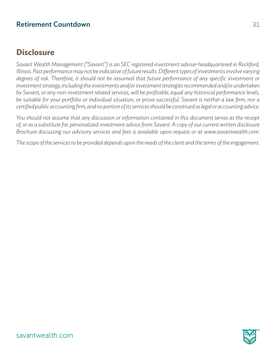#### **Disclosure**

*Savant Wealth Management ("Savant") is an SEC registered investment adviser headquartered in Rockford, Illinois. Past performance may not be indicative of future results. Different types of investments involve varying degrees of risk. Therefore, it should not be assumed that future performance of any specific investment or investment strategy, including the investments and/or investment strategies recommended and/or undertaken by Savant, or any non-investment related services, will be profitable, equal any historical performance levels, be suitable for your portfolio or individual situation, or prove successful. Savant is neither a law firm, nor a certified public accounting firm, and no portion of its services should be construed as legal or accounting advice.*

*You should not assume that any discussion or information contained in this document serves as the receipt of, or as a substitute for, personalized investment advice from Savant. A copy of our current written disclosure Brochure discussing our advisory services and fees is available upon request or at www.savantwealth.com.*

*The scope of the services to be provided depends upon the needs of the client and the terms of the engagement.*